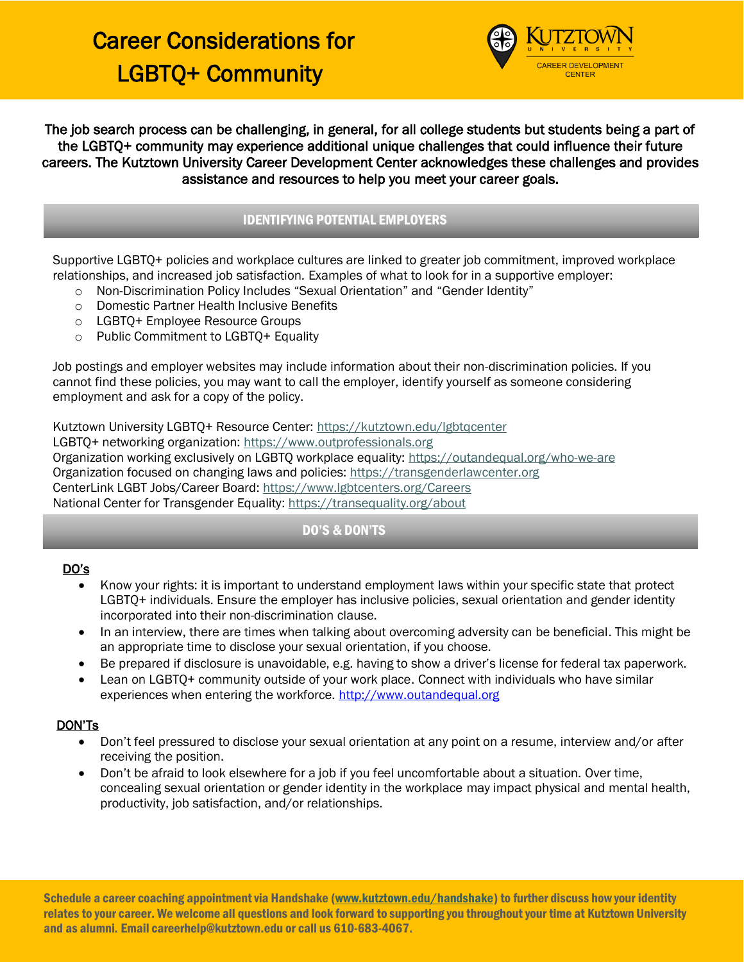# Career Considerations for LGBTQ+ Community



## The job search process can be challenging, in general, for all college students but students being a part of the LGBTQ+ community may experience additional unique challenges that could influence their future careers. The Kutztown University Career Development Center acknowledges these challenges and provides assistance and resources to help you meet your career goals.

## IDENTIFYING POTENTIAL EMPLOYERS

Supportive LGBTQ+ policies and workplace cultures are linked to greater job commitment, improved workplace relationships, and increased job satisfaction. Examples of what to look for in a supportive employer:

- o Non-Discrimination Policy Includes "Sexual Orientation" and "Gender Identity"
- o Domestic Partner Health Inclusive Benefits
- o LGBTQ+ Employee Resource Groups
- o Public Commitment to LGBTQ+ Equality

Job postings and employer websites may include information about their non-discrimination policies. If you cannot find these policies, you may want to call the employer, identify yourself as someone considering employment and ask for a copy of the policy.

Kutztown University LGBTQ+ Resource Center: [https://kutztown.edu/lgbtqcenter](https://nam02.safelinks.protection.outlook.com/?url=https%3A%2F%2Fkutztown.edu%2Flgbtqcenter&data=04%7C01%7Cganley%40kutztown.edu%7C98eae6689e514e7e75ef08d940ac58e2%7C03c754af89a74b0abd4bdb68146c5fa4%7C1%7C0%7C637611931243334231%7CUnknown%7CTWFpbGZsb3d8eyJWIjoiMC4wLjAwMDAiLCJQIjoiV2luMzIiLCJBTiI6Ik1haWwiLCJXVCI6Mn0%3D%7C1000&sdata=R%2B%2BGogGvGv%2BAeQtm2BqFNr%2BEwYGn4g2eXI%2BBPl6DIbg%3D&reserved=0) LGBTQ+ networking organization: [https://www.outprofessionals.org](https://www.outprofessionals.org/) Organization working exclusively on LGBTQ workplace equality:<https://outandequal.org/who-we-are> Organization focused on changing laws and policies: [https://transgenderlawcenter.org](https://transgenderlawcenter.org/) CenterLink LGBT Jobs/Career Board: <https://www.lgbtcenters.org/Careers> National Center for Transgender Equality:<https://transequality.org/about>

## DO'S & DON'TS

#### DO's

- Know your rights: it is important to understand employment laws within your specific state that protect LGBTQ+ individuals. Ensure the employer has inclusive policies, sexual orientation and gender identity incorporated into their non-discrimination clause.
- In an interview, there are times when talking about overcoming adversity can be beneficial. This might be an appropriate time to disclose your sexual orientation, if you choose.
- Be prepared if disclosure is unavoidable, e.g. having to show a driver's license for federal tax paperwork.
- Lean on LGBTQ+ community outside of your work place. Connect with individuals who have similar experiences when entering the workforce. [http://www.outandequal.org](http://www.outandequal.org/)

#### DON'Ts

- Don't feel pressured to disclose your sexual orientation at any point on a resume, interview and/or after receiving the position.
- Don't be afraid to look elsewhere for a job if you feel uncomfortable about a situation. Over time, concealing sexual orientation or gender identity in the workplace may impact physical and mental health, productivity, job satisfaction, and/or relationships.

Schedule a career coaching appointment via Handshake [\(www.kutztown.edu/handshake\)](http://www.kutztown.edu/handshake) to further discuss how your identity relates to your career. We welcome all questions and look forward to supporting you throughout your time at Kutztown University and as alumni. Email careerhelp@kutztown.edu or call us 610-683-4067.